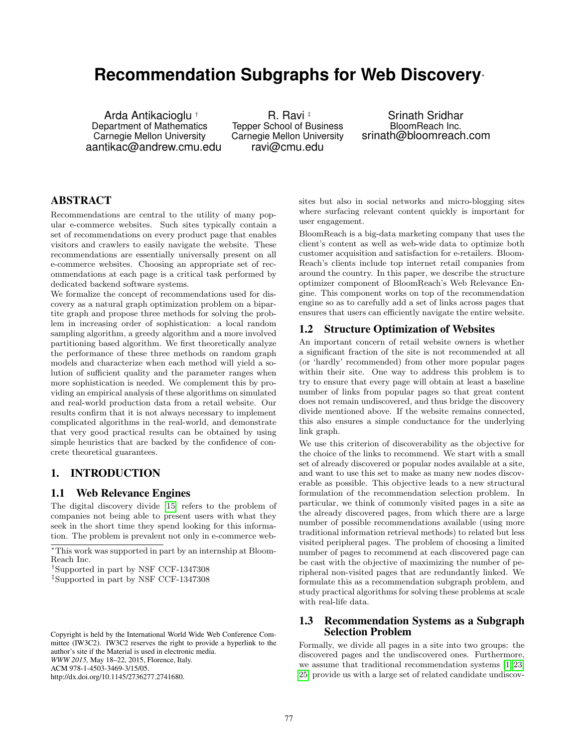# **Recommendation Subgraphs for Web Discovery**<sup>∗</sup>

Arda Antikacioglu † Department of Mathematics Carnegie Mellon University aantikac@andrew.cmu.edu

R. Ravi ‡ Tepper School of Business Carnegie Mellon University ravi@cmu.edu

Srinath Sridhar BloomReach Inc. srinath@bloomreach.com

# ABSTRACT

Recommendations are central to the utility of many popular e-commerce websites. Such sites typically contain a set of recommendations on every product page that enables visitors and crawlers to easily navigate the website. These recommendations are essentially universally present on all e-commerce websites. Choosing an appropriate set of recommendations at each page is a critical task performed by dedicated backend software systems.

We formalize the concept of recommendations used for discovery as a natural graph optimization problem on a bipartite graph and propose three methods for solving the problem in increasing order of sophistication: a local random sampling algorithm, a greedy algorithm and a more involved partitioning based algorithm. We first theoretically analyze the performance of these three methods on random graph models and characterize when each method will yield a solution of sufficient quality and the parameter ranges when more sophistication is needed. We complement this by providing an empirical analysis of these algorithms on simulated and real-world production data from a retail website. Our results confirm that it is not always necessary to implement complicated algorithms in the real-world, and demonstrate that very good practical results can be obtained by using simple heuristics that are backed by the confidence of concrete theoretical guarantees.

## 1. INTRODUCTION

#### 1.1 Web Relevance Engines

The digital discovery divide [\[15\]](#page-10-0) refers to the problem of companies not being able to present users with what they seek in the short time they spend looking for this information. The problem is prevalent not only in e-commerce websites but also in social networks and micro-blogging sites where surfacing relevant content quickly is important for user engagement.

BloomReach is a big-data marketing company that uses the client's content as well as web-wide data to optimize both customer acquisition and satisfaction for e-retailers. Bloom-Reach's clients include top internet retail companies from around the country. In this paper, we describe the structure optimizer component of BloomReach's Web Relevance Engine. This component works on top of the recommendation engine so as to carefully add a set of links across pages that ensures that users can efficiently navigate the entire website.

## 1.2 Structure Optimization of Websites

An important concern of retail website owners is whether a significant fraction of the site is not recommended at all (or 'hardly' recommended) from other more popular pages within their site. One way to address this problem is to try to ensure that every page will obtain at least a baseline number of links from popular pages so that great content does not remain undiscovered, and thus bridge the discovery divide mentioned above. If the website remains connected, this also ensures a simple conductance for the underlying link graph.

We use this criterion of discoverability as the objective for the choice of the links to recommend. We start with a small set of already discovered or popular nodes available at a site, and want to use this set to make as many new nodes discoverable as possible. This objective leads to a new structural formulation of the recommendation selection problem. In particular, we think of commonly visited pages in a site as the already discovered pages, from which there are a large number of possible recommendations available (using more traditional information retrieval methods) to related but less visited peripheral pages. The problem of choosing a limited number of pages to recommend at each discovered page can be cast with the objective of maximizing the number of peripheral non-visited pages that are redundantly linked. We formulate this as a recommendation subgraph problem, and study practical algorithms for solving these problems at scale with real-life data.

#### 1.3 Recommendation Systems as a Subgraph Selection Problem

Formally, we divide all pages in a site into two groups: the discovered pages and the undiscovered ones. Furthermore, we assume that traditional recommendation systems [\[1,](#page-10-1) [23,](#page-10-2) [25\]](#page-10-3) provide us with a large set of related candidate undiscov-

<sup>∗</sup>This work was supported in part by an internship at Bloom-Reach Inc.

<sup>†</sup>Supported in part by NSF CCF-1347308

<sup>‡</sup>Supported in part by NSF CCF-1347308

Copyright is held by the International World Wide Web Conference Committee (IW3C2). IW3C2 reserves the right to provide a hyperlink to the author's site if the Material is used in electronic media. *WWW 2015,* May 18–22, 2015, Florence, Italy. ACM 978-1-4503-3469-3/15/05. http://dx.doi.org/10.1145/2736277.2741680.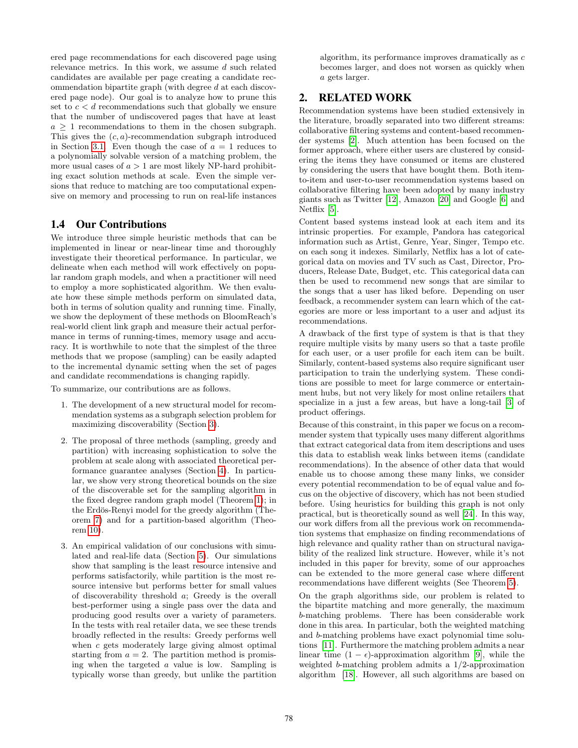ered page recommendations for each discovered page using relevance metrics. In this work, we assume d such related candidates are available per page creating a candidate recommendation bipartite graph (with degree d at each discovered page node). Our goal is to analyze how to prune this set to  $c < d$  recommendations such that globally we ensure that the number of undiscovered pages that have at least  $a \geq 1$  recommendations to them in the chosen subgraph. This gives the  $(c, a)$ -recommendation subgraph introduced in Section [3.1.](#page-2-0) Even though the case of  $a = 1$  reduces to a polynomially solvable version of a matching problem, the more usual cases of  $a > 1$  are most likely NP-hard prohibiting exact solution methods at scale. Even the simple versions that reduce to matching are too computational expensive on memory and processing to run on real-life instances

#### 1.4 Our Contributions

We introduce three simple heuristic methods that can be implemented in linear or near-linear time and thoroughly investigate their theoretical performance. In particular, we delineate when each method will work effectively on popular random graph models, and when a practitioner will need to employ a more sophisticated algorithm. We then evaluate how these simple methods perform on simulated data, both in terms of solution quality and running time. Finally, we show the deployment of these methods on BloomReach's real-world client link graph and measure their actual performance in terms of running-times, memory usage and accuracy. It is worthwhile to note that the simplest of the three methods that we propose (sampling) can be easily adapted to the incremental dynamic setting when the set of pages and candidate recommendations is changing rapidly.

To summarize, our contributions are as follows.

- 1. The development of a new structural model for recommendation systems as a subgraph selection problem for maximizing discoverability (Section [3\)](#page-2-1).
- 2. The proposal of three methods (sampling, greedy and partition) with increasing sophistication to solve the problem at scale along with associated theoretical performance guarantee analyses (Section [4\)](#page-3-0). In particular, we show very strong theoretical bounds on the size of the discoverable set for the sampling algorithm in the fixed degree random graph model (Theorem [1\)](#page-3-1); in the Erdös-Renyi model for the greedy algorithm (Theorem [7\)](#page-5-0) and for a partition-based algorithm (Theorem [10\)](#page-6-0).
- 3. An empirical validation of our conclusions with simulated and real-life data (Section [5\)](#page-7-0). Our simulations show that sampling is the least resource intensive and performs satisfactorily, while partition is the most resource intensive but performs better for small values of discoverability threshold a; Greedy is the overall best-performer using a single pass over the data and producing good results over a variety of parameters. In the tests with real retailer data, we see these trends broadly reflected in the results: Greedy performs well when c gets moderately large giving almost optimal starting from  $a = 2$ . The partition method is promising when the targeted a value is low. Sampling is typically worse than greedy, but unlike the partition

algorithm, its performance improves dramatically as c becomes larger, and does not worsen as quickly when a gets larger.

# 2. RELATED WORK

Recommendation systems have been studied extensively in the literature, broadly separated into two different streams: collaborative filtering systems and content-based recommender systems [\[2\]](#page-10-4). Much attention has been focused on the former approach, where either users are clustered by considering the items they have consumed or items are clustered by considering the users that have bought them. Both itemto-item and user-to-user recommendation systems based on collaborative filtering have been adopted by many industry giants such as Twitter [\[12\]](#page-10-5), Amazon [\[20\]](#page-10-6) and Google [\[6\]](#page-10-7) and Netflix [\[5\]](#page-10-8).

Content based systems instead look at each item and its intrinsic properties. For example, Pandora has categorical information such as Artist, Genre, Year, Singer, Tempo etc. on each song it indexes. Similarly, Netflix has a lot of categorical data on movies and TV such as Cast, Director, Producers, Release Date, Budget, etc. This categorical data can then be used to recommend new songs that are similar to the songs that a user has liked before. Depending on user feedback, a recommender system can learn which of the categories are more or less important to a user and adjust its recommendations.

A drawback of the first type of system is that is that they require multiple visits by many users so that a taste profile for each user, or a user profile for each item can be built. Similarly, content-based systems also require significant user participation to train the underlying system. These conditions are possible to meet for large commerce or entertainment hubs, but not very likely for most online retailers that specialize in a just a few areas, but have a long-tail [\[3\]](#page-10-9) of product offerings.

Because of this constraint, in this paper we focus on a recommender system that typically uses many different algorithms that extract categorical data from item descriptions and uses this data to establish weak links between items (candidate recommendations). In the absence of other data that would enable us to choose among these many links, we consider every potential recommendation to be of equal value and focus on the objective of discovery, which has not been studied before. Using heuristics for building this graph is not only practical, but is theoretically sound as well [\[24\]](#page-10-10). In this way, our work differs from all the previous work on recommendation systems that emphasize on finding recommendations of high relevance and quality rather than on structural navigability of the realized link structure. However, while it's not included in this paper for brevity, some of our approaches can be extended to the more general case where different recommendations have different weights (See Theorem [5\)](#page-4-0).

On the graph algorithms side, our problem is related to the bipartite matching and more generally, the maximum b-matching problems. There has been considerable work done in this area. In particular, both the weighted matching and b-matching problems have exact polynomial time solutions [\[11\]](#page-10-11). Furthermore the matching problem admits a near linear time  $(1 - \epsilon)$ -approximation algorithm [\[9\]](#page-10-12), while the weighted b-matching problem admits a 1/2-approximation algorithm [\[18\]](#page-10-13). However, all such algorithms are based on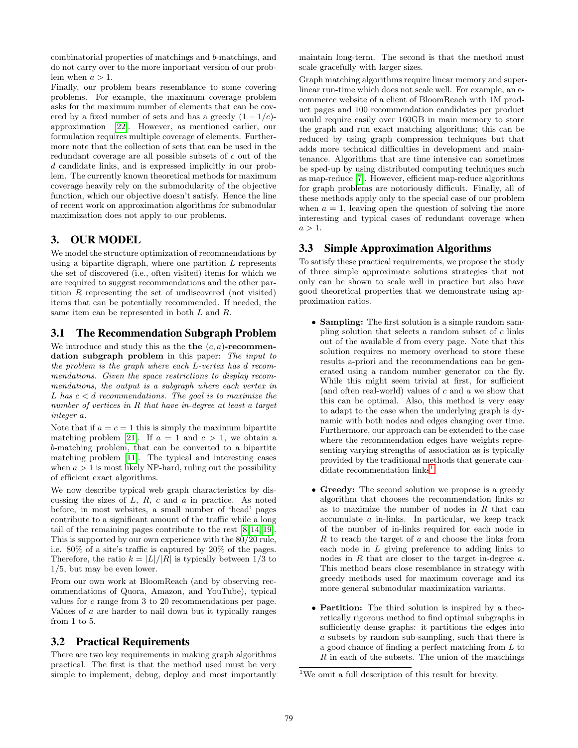combinatorial properties of matchings and b-matchings, and do not carry over to the more important version of our problem when  $a > 1$ .

Finally, our problem bears resemblance to some covering problems. For example, the maximum coverage problem asks for the maximum number of elements that can be covered by a fixed number of sets and has a greedy  $(1 - 1/e)$ approximation [\[22\]](#page-10-14). However, as mentioned earlier, our formulation requires multiple coverage of elements. Furthermore note that the collection of sets that can be used in the redundant coverage are all possible subsets of c out of the d candidate links, and is expressed implicitly in our problem. The currently known theoretical methods for maximum coverage heavily rely on the submodularity of the objective function, which our objective doesn't satisfy. Hence the line of recent work on approximation algorithms for submodular maximization does not apply to our problems.

# <span id="page-2-1"></span>3. OUR MODEL

We model the structure optimization of recommendations by using a bipartite digraph, where one partition  $L$  represents the set of discovered (i.e., often visited) items for which we are required to suggest recommendations and the other partition R representing the set of undiscovered (not visited) items that can be potentially recommended. If needed, the same item can be represented in both  $L$  and  $R$ .

# <span id="page-2-0"></span>3.1 The Recommendation Subgraph Problem

We introduce and study this as the the  $(c, a)$ -recommendation subgraph problem in this paper: The input to the problem is the graph where each L-vertex has d recommendations. Given the space restrictions to display recommendations, the output is a subgraph where each vertex in L has  $c < d$  recommendations. The goal is to maximize the number of vertices in R that have in-degree at least a target integer a.

Note that if  $a = c = 1$  this is simply the maximum bipartite matching problem [\[21\]](#page-10-15). If  $a = 1$  and  $c > 1$ , we obtain a b-matching problem, that can be converted to a bipartite matching problem [\[11\]](#page-10-11). The typical and interesting cases when  $a > 1$  is most likely NP-hard, ruling out the possibility of efficient exact algorithms.

We now describe typical web graph characteristics by discussing the sizes of  $L$ ,  $R$ ,  $c$  and  $a$  in practice. As noted before, in most websites, a small number of 'head' pages contribute to a significant amount of the traffic while a long tail of the remaining pages contribute to the rest [\[8,](#page-10-16) [14,](#page-10-17) [19\]](#page-10-18). This is supported by our own experience with the 80/20 rule, i.e. 80% of a site's traffic is captured by 20% of the pages. Therefore, the ratio  $k = |L|/|R|$  is typically between 1/3 to 1/5, but may be even lower.

From our own work at BloomReach (and by observing recommendations of Quora, Amazon, and YouTube), typical values for c range from 3 to 20 recommendations per page. Values of a are harder to nail down but it typically ranges from 1 to 5.

## 3.2 Practical Requirements

There are two key requirements in making graph algorithms practical. The first is that the method used must be very simple to implement, debug, deploy and most importantly

maintain long-term. The second is that the method must scale gracefully with larger sizes.

Graph matching algorithms require linear memory and superlinear run-time which does not scale well. For example, an ecommerce website of a client of BloomReach with 1M product pages and 100 recommendation candidates per product would require easily over 160GB in main memory to store the graph and run exact matching algorithms; this can be reduced by using graph compression techniques but that adds more technical difficulties in development and maintenance. Algorithms that are time intensive can sometimes be sped-up by using distributed computing techniques such as map-reduce [\[7\]](#page-10-19). However, efficient map-reduce algorithms for graph problems are notoriously difficult. Finally, all of these methods apply only to the special case of our problem when  $a = 1$ , leaving open the question of solving the more interesting and typical cases of redundant coverage when  $a > 1$ .

# 3.3 Simple Approximation Algorithms

To satisfy these practical requirements, we propose the study of three simple approximate solutions strategies that not only can be shown to scale well in practice but also have good theoretical properties that we demonstrate using approximation ratios.

- Sampling: The first solution is a simple random sampling solution that selects a random subset of  $c$  links out of the available d from every page. Note that this solution requires no memory overhead to store these results a-priori and the recommendations can be generated using a random number generator on the fly. While this might seem trivial at first, for sufficient (and often real-world) values of c and a we show that this can be optimal. Also, this method is very easy to adapt to the case when the underlying graph is dynamic with both nodes and edges changing over time. Furthermore, our approach can be extended to the case where the recommendation edges have weights representing varying strengths of association as is typically provided by the traditional methods that generate can-didate recommendation links<sup>[1](#page-2-2)</sup>.
- Greedy: The second solution we propose is a greedy algorithm that chooses the recommendation links so as to maximize the number of nodes in  $R$  that can accumulate a in-links. In particular, we keep track of the number of in-links required for each node in  $R$  to reach the target of  $a$  and choose the links from each node in L giving preference to adding links to nodes in  $R$  that are closer to the target in-degree  $a$ . This method bears close resemblance in strategy with greedy methods used for maximum coverage and its more general submodular maximization variants.
- Partition: The third solution is inspired by a theoretically rigorous method to find optimal subgraphs in sufficiently dense graphs: it partitions the edges into a subsets by random sub-sampling, such that there is a good chance of finding a perfect matching from L to  $R$  in each of the subsets. The union of the matchings

<span id="page-2-2"></span><sup>&</sup>lt;sup>1</sup>We omit a full description of this result for brevity.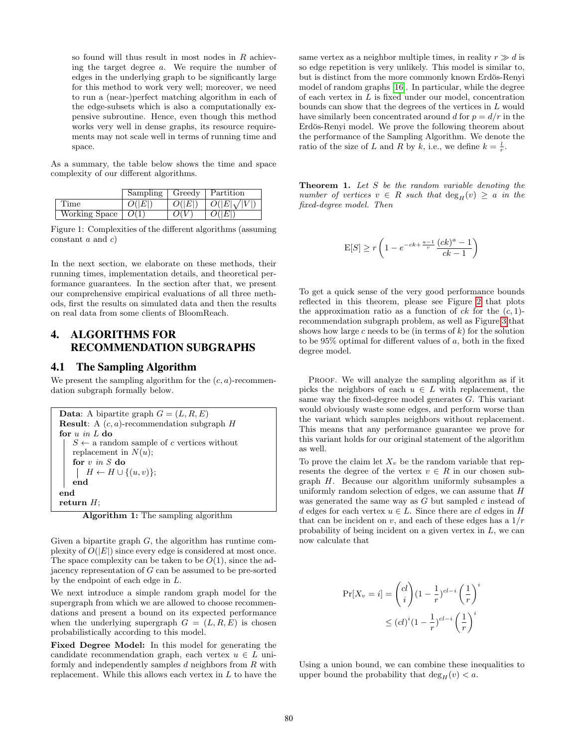so found will thus result in most nodes in  $R$  achieving the target degree a. We require the number of edges in the underlying graph to be significantly large for this method to work very well; moreover, we need to run a (near-)perfect matching algorithm in each of the edge-subsets which is also a computationally expensive subroutine. Hence, even though this method works very well in dense graphs, its resource requirements may not scale well in terms of running time and space.

As a summary, the table below shows the time and space complexity of our different algorithms.

|               | Sampling | Greedy | Partition          |
|---------------|----------|--------|--------------------|
| Time          | O( E )   | O( E ) | $O( E \sqrt{ V })$ |
| Working Space | O(1)     | O(V)   | O( E )             |

Figure 1: Complexities of the different algorithms (assuming constant  $a$  and  $c$ )

In the next section, we elaborate on these methods, their running times, implementation details, and theoretical performance guarantees. In the section after that, we present our comprehensive empirical evaluations of all three methods, first the results on simulated data and then the results on real data from some clients of BloomReach.

# <span id="page-3-0"></span>4. ALGORITHMS FOR RECOMMENDATION SUBGRAPHS

#### <span id="page-3-2"></span>4.1 The Sampling Algorithm

We present the sampling algorithm for the  $(c, a)$ -recommendation subgraph formally below.

```
Data: A bipartite graph G = (L, R, E)Result: A (c, a)-recommendation subgraph Hfor u in L do
   S \leftarrow a random sample of c vertices without
   replacement in N(u);
   for v\, in S do
    \vert H \leftarrow H \cup \{(u, v)\};end
end
return H;
```
Algorithm 1: The sampling algorithm

Given a bipartite graph  $G$ , the algorithm has runtime complexity of  $O(|E|)$  since every edge is considered at most once. The space complexity can be taken to be  $O(1)$ , since the adjacency representation of G can be assumed to be pre-sorted by the endpoint of each edge in L.

We next introduce a simple random graph model for the supergraph from which we are allowed to choose recommendations and present a bound on its expected performance when the underlying supergraph  $G = (L, R, E)$  is chosen probabilistically according to this model.

Fixed Degree Model: In this model for generating the candidate recommendation graph, each vertex  $u \in L$  uniformly and independently samples  $d$  neighbors from  $R$  with replacement. While this allows each vertex in  $L$  to have the

same vertex as a neighbor multiple times, in reality  $r \gg d$  is so edge repetition is very unlikely. This model is similar to, but is distinct from the more commonly known Erdös-Renyi model of random graphs [\[16\]](#page-10-20). In particular, while the degree of each vertex in L is fixed under our model, concentration bounds can show that the degrees of the vertices in L would have similarly been concentrated around d for  $p = d/r$  in the Erdös-Renyi model. We prove the following theorem about the performance of the Sampling Algorithm. We denote the ratio of the size of L and R by k, i.e., we define  $k = \frac{l}{r}$ .

<span id="page-3-1"></span>**Theorem 1.** Let  $S$  be the random variable denoting the number of vertices  $v \in R$  such that  $deg_H(v) \geq a$  in the fixed-degree model. Then

$$
\mathrm{E}[S] \geq r \left( 1 - e^{-ck + \frac{a-1}{r}} \frac{(ck)^a - 1}{ck - 1} \right)
$$

To get a quick sense of the very good performance bounds reflected in this theorem, please see Figure [2](#page-4-1) that plots the approximation ratio as a function of  $ck$  for the  $(c, 1)$ recommendation subgraph problem, as well as Figure [3](#page-4-2) that shows how large c needs to be (in terms of  $k$ ) for the solution to be  $95\%$  optimal for different values of a, both in the fixed degree model.

PROOF. We will analyze the sampling algorithm as if it picks the neighbors of each  $u \in L$  with replacement, the same way the fixed-degree model generates G. This variant would obviously waste some edges, and perform worse than the variant which samples neighbors without replacement. This means that any performance guarantee we prove for this variant holds for our original statement of the algorithm as well.

To prove the claim let  $X_v$  be the random variable that represents the degree of the vertex  $v \in R$  in our chosen subgraph H. Because our algorithm uniformly subsamples a uniformly random selection of edges, we can assume that H was generated the same way as G but sampled c instead of d edges for each vertex  $u \in L$ . Since there are cl edges in H that can be incident on  $v$ , and each of these edges has a  $1/r$ probability of being incident on a given vertex in  $L$ , we can now calculate that

$$
\Pr[X_v = i] = {cl \choose i} (1 - \frac{1}{r})^{cl-i} \left(\frac{1}{r}\right)^i
$$
  

$$
\leq (cl)^i (1 - \frac{1}{r})^{cl-i} \left(\frac{1}{r}\right)^i
$$

Using a union bound, we can combine these inequalities to upper bound the probability that  $\deg_H(v) < a$ .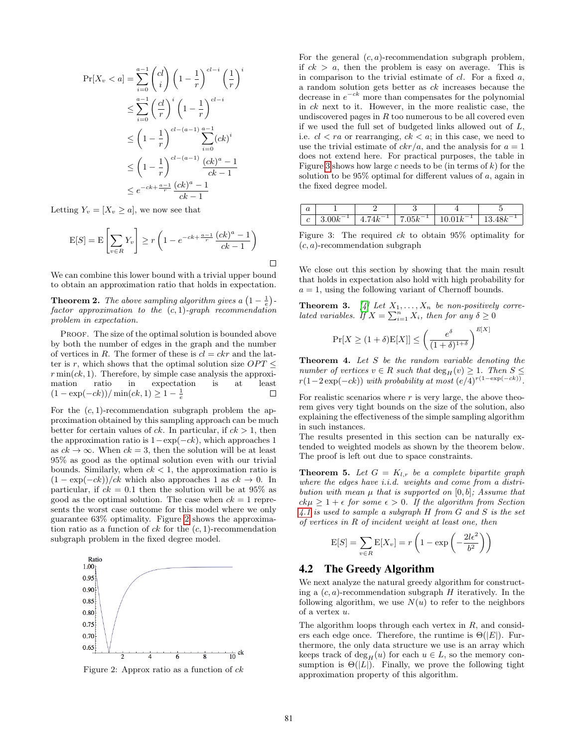$$
\Pr[X_v < a] = \sum_{i=0}^{a-1} \binom{cl}{i} \left(1 - \frac{1}{r}\right)^{cl-i} \left(\frac{1}{r}\right)^i
$$
\n
$$
\leq \sum_{i=0}^{a-1} \left(\frac{cl}{r}\right)^i \left(1 - \frac{1}{r}\right)^{cl-i}
$$
\n
$$
\leq \left(1 - \frac{1}{r}\right)^{cl-(a-1)} \sum_{i=0}^{a-1} (ck)^i
$$
\n
$$
\leq \left(1 - \frac{1}{r}\right)^{cl-(a-1)} \frac{(ck)^a - 1}{ck - 1}
$$
\n
$$
\leq e^{-ck + \frac{a-1}{r}} \frac{(ck)^a - 1}{ck - 1}
$$

Letting  $Y_v = [X_v \geq a]$ , we now see that

$$
E[S] = E\left[\sum_{v \in R} Y_v\right] \ge r\left(1 - e^{-ck + \frac{a-1}{r}} \frac{(ck)^a - 1}{ck - 1}\right)
$$

We can combine this lower bound with a trivial upper bound to obtain an approximation ratio that holds in expectation.

**Theorem 2.** The above sampling algorithm gives a  $\left(1-\frac{1}{e}\right)$ factor approximation to the  $(c, 1)$ -graph recommendation problem in expectation.

PROOF. The size of the optimal solution is bounded above by both the number of edges in the graph and the number of vertices in R. The former of these is  $cl = ckr$  and the latter is r, which shows that the optimal solution size  $OPT \leq$  $r \min(ck, 1)$ . Therefore, by simple case analysis the approximation ratio in expectation is at least  $(1 - \exp(-ck)) / \min(ck, 1) \ge 1 - \frac{1}{e}$  $\Box$ 

For the  $(c, 1)$ -recommendation subgraph problem the approximation obtained by this sampling approach can be much better for certain values of ck. In particular, if  $ck > 1$ , then the approximation ratio is  $1-\exp(-ck)$ , which approaches 1 as  $ck \to \infty$ . When  $ck = 3$ , then the solution will be at least 95% as good as the optimal solution even with our trivial bounds. Similarly, when  $ck < 1$ , the approximation ratio is  $(1 - \exp(-ck))/ck$  which also approaches 1 as  $ck \to 0$ . In particular, if  $ck = 0.1$  then the solution will be at 95% as good as the optimal solution. The case when  $ck = 1$  represents the worst case outcome for this model where we only guarantee 63% optimality. Figure [2](#page-4-1) shows the approximation ratio as a function of  $ck$  for the  $(c, 1)$ -recommendation subgraph problem in the fixed degree model.

<span id="page-4-1"></span>

Figure 2: Approx ratio as a function of  $ck$ 

For the general  $(c, a)$ -recommendation subgraph problem, if  $ck > a$ , then the problem is easy on average. This is in comparison to the trivial estimate of  $cl$ . For a fixed  $a$ , a random solution gets better as ck increases because the decrease in  $e^{-ck}$  more than compensates for the polynomial in ck next to it. However, in the more realistic case, the undiscovered pages in  $R$  too numerous to be all covered even if we used the full set of budgeted links allowed out of L, i.e.  $cl < ra$  or rearranging,  $ck < a$ ; in this case, we need to use the trivial estimate of  $c k r/a$ , and the analysis for  $a = 1$ does not extend here. For practical purposes, the table in Figure [3](#page-4-2) shows how large c needs to be (in terms of  $k$ ) for the solution to be  $95\%$  optimal for different values of  $a$ , again in the fixed degree model.

<span id="page-4-2"></span>

| $\bm{u}$        |                       |                                            |                    |                        |        |
|-----------------|-----------------------|--------------------------------------------|--------------------|------------------------|--------|
| $\epsilon$<br>U | <b>.</b><br>11k<br>∪n | $\overline{ }$<br>$\overline{\phantom{a}}$ | $05k^{-1}$<br>.uun | <b>.</b><br>$\sqrt{ }$ | 13.48k |

Figure 3: The required ck to obtain 95% optimality for  $(c, a)$ -recommendation subgraph

We close out this section by showing that the main result that holds in expectation also hold with high probability for  $a = 1$ , using the following variant of Chernoff bounds.

**Theorem 3.** [\[4\]](#page-10-21) Let  $X_1, \ldots, X_n$  be non-positively correlated variables. If  $X = \sum_{i=1}^{n} X_i$ , then for any  $\delta \geq 0$ 

$$
\Pr[X \ge (1+\delta)\mathbf{E}[X]] \le \left(\frac{e^{\delta}}{(1+\delta)^{1+\delta}}\right)^{E[X]}
$$

Theorem 4. Let S be the random variable denoting the number of vertices  $v \in R$  such that  $\deg_H(v) \geq 1$ . Then  $S \leq$  $r(1-2\exp(-ck))$  with probability at most  $(e/4)^{r(1-\exp(-ck))}$ .

For realistic scenarios where  $r$  is very large, the above theorem gives very tight bounds on the size of the solution, also explaining the effectiveness of the simple sampling algorithm in such instances.

The results presented in this section can be naturally extended to weighted models as shown by the theorem below. The proof is left out due to space constraints.

<span id="page-4-0"></span>**Theorem 5.** Let  $G = K_{l,r}$  be a complete bipartite graph where the edges have *i.i.d.* weights and come from a distribution with mean  $\mu$  that is supported on [0, b]; Assume that  $ck\mu \geq 1 + \epsilon$  for some  $\epsilon > 0$ . If the algorithm from Section [4.1](#page-3-2) is used to sample a subgraph H from G and S is the set of vertices in R of incident weight at least one, then

$$
E[S] = \sum_{v \in R} E[X_v] = r \left( 1 - \exp \left( -\frac{2l\epsilon^2}{b^2} \right) \right)
$$

#### 4.2 The Greedy Algorithm

We next analyze the natural greedy algorithm for constructing a  $(c, a)$ -recommendation subgraph  $H$  iteratively. In the following algorithm, we use  $N(u)$  to refer to the neighbors of a vertex u.

The algorithm loops through each vertex in  $R$ , and considers each edge once. Therefore, the runtime is  $\Theta(|E|)$ . Furthermore, the only data structure we use is an array which keeps track of  $\deg_H(u)$  for each  $u \in L$ , so the memory consumption is  $\Theta(|L|)$ . Finally, we prove the following tight approximation property of this algorithm.

 $\Box$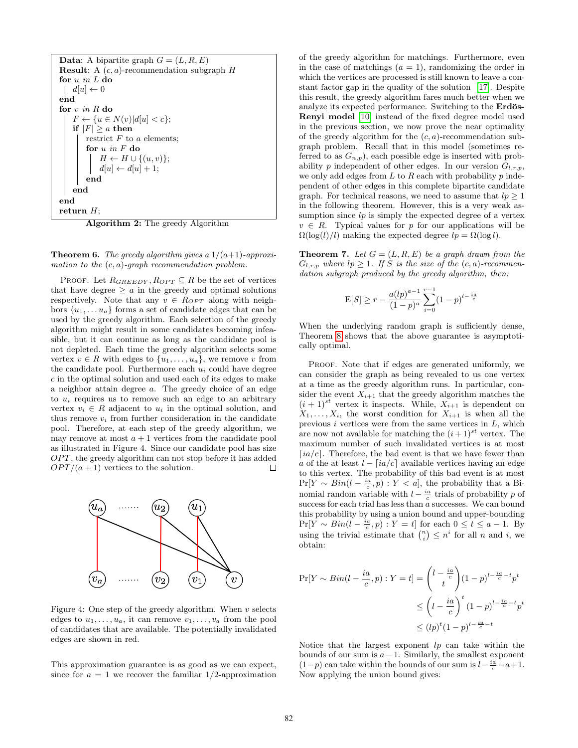| <b>Data:</b> A bipartite graph $G = (L, R, E)$                                                             |  |  |  |  |
|------------------------------------------------------------------------------------------------------------|--|--|--|--|
| <b>Result:</b> A $(c, a)$ -recommendation subgraph $H$                                                     |  |  |  |  |
| for $u$ in $L$ do                                                                                          |  |  |  |  |
| $\begin{array}{c}   & d[u] \leftarrow 0 \end{array}$                                                       |  |  |  |  |
| end                                                                                                        |  |  |  |  |
| for $v$ in R do                                                                                            |  |  |  |  |
| $F \leftarrow \{u \in N(v) d u  < c\};$                                                                    |  |  |  |  |
| if $ F  \ge a$ then                                                                                        |  |  |  |  |
| restrict $F$ to a elements;                                                                                |  |  |  |  |
| for $u$ in $F$ do                                                                                          |  |  |  |  |
|                                                                                                            |  |  |  |  |
| $\left  \begin{array}{c} H \leftarrow H \cup \{(u, v)\}; \\ d[u] \leftarrow d[u] + 1; \end{array} \right.$ |  |  |  |  |
| end                                                                                                        |  |  |  |  |
| end                                                                                                        |  |  |  |  |
| end                                                                                                        |  |  |  |  |
| return $H$ ;                                                                                               |  |  |  |  |
| ۰.<br>$\cdots$<br>.<br>$\sim$<br>.                                                                         |  |  |  |  |

Algorithm 2: The greedy Algorithm

**Theorem 6.** The greedy algorithm gives a  $1/(a+1)$ -approximation to the  $(c, a)$ -graph recommendation problem.

PROOF. Let  $R_{GREEDY}, R_{OPT} \subseteq R$  be the set of vertices that have degree  $\geq a$  in the greedy and optimal solutions respectively. Note that any  $v \in R_{OPT}$  along with neighbors  $\{u_1, \ldots u_a\}$  forms a set of candidate edges that can be used by the greedy algorithm. Each selection of the greedy algorithm might result in some candidates becoming infeasible, but it can continue as long as the candidate pool is not depleted. Each time the greedy algorithm selects some vertex  $v \in R$  with edges to  $\{u_1, \ldots, u_a\}$ , we remove v from the candidate pool. Furthermore each  $u_i$  could have degree c in the optimal solution and used each of its edges to make a neighbor attain degree a. The greedy choice of an edge to  $u_i$  requires us to remove such an edge to an arbitrary vertex  $v_i \in R$  adjacent to  $u_i$  in the optimal solution, and thus remove  $v_i$  from further consideration in the candidate pool. Therefore, at each step of the greedy algorithm, we may remove at most  $a + 1$  vertices from the candidate pool as illustrated in Figure 4. Since our candidate pool has size  $OPT$ , the greedy algorithm can not stop before it has added  $OPT/(a+1)$  vertices to the solution. □



Figure 4: One step of the greedy algorithm. When  $v$  selects edges to  $u_1, \ldots, u_a$ , it can remove  $v_1, \ldots, v_a$  from the pool of candidates that are available. The potentially invalidated edges are shown in red.

This approximation guarantee is as good as we can expect, since for  $a = 1$  we recover the familiar 1/2-approximation of the greedy algorithm for matchings. Furthermore, even in the case of matchings  $(a = 1)$ , randomizing the order in which the vertices are processed is still known to leave a constant factor gap in the quality of the solution [\[17\]](#page-10-22). Despite this result, the greedy algorithm fares much better when we analyze its expected performance. Switching to the **Erdös-**Renyi model [\[10\]](#page-10-23) instead of the fixed degree model used in the previous section, we now prove the near optimality of the greedy algorithm for the  $(c, a)$ -recommendation subgraph problem. Recall that in this model (sometimes referred to as  $G_{n,p}$ , each possible edge is inserted with probability p independent of other edges. In our version  $G_{l,r,p}$ , we only add edges from  $L$  to  $R$  each with probability  $p$  independent of other edges in this complete bipartite candidate graph. For technical reasons, we need to assume that  $lp \geq 1$ in the following theorem. However, this is a very weak assumption since  $lp$  is simply the expected degree of a vertex  $v \in R$ . Typical values for p for our applications will be  $\Omega(\log(l)/l)$  making the expected degree  $lp = \Omega(\log l)$ .

<span id="page-5-0"></span>**Theorem 7.** Let  $G = (L, R, E)$  be a graph drawn from the  $G_{l,r,p}$  where  $lp \geq 1$ . If S is the size of the  $(c, a)$ -recommendation subgraph produced by the greedy algorithm, then:

$$
E[S] \ge r - \frac{a(lp)^{a-1}}{(1-p)^a} \sum_{i=0}^{r-1} (1-p)^{l-\frac{ia}{c}}
$$

When the underlying random graph is sufficiently dense, Theorem [8](#page-6-1) shows that the above guarantee is asymptotically optimal.

PROOF. Note that if edges are generated uniformly, we can consider the graph as being revealed to us one vertex at a time as the greedy algorithm runs. In particular, consider the event  $X_{i+1}$  that the greedy algorithm matches the  $(i + 1)^{st}$  vertex it inspects. While,  $X_{i+1}$  is dependent on  $X_1, \ldots, X_i$ , the worst condition for  $X_{i+1}$  is when all the previous  $i$  vertices were from the same vertices in  $L$ , which are now not available for matching the  $(i+1)^{st}$  vertex. The maximum number of such invalidated vertices is at most [ $ia/c$ ]. Therefore, the bad event is that we have fewer than a of the at least  $l - \lceil ia/c \rceil$  available vertices having an edge to this vertex. The probability of this bad event is at most  $Pr[Y \sim Bin(l - \frac{ia}{c}, p) : Y < a]$ , the probability that a Binomial random variable with  $l - \frac{ia}{c}$  trials of probability p of success for each trial has less than a successes. We can bound this probability by using a union bound and upper-bounding  $Pr[Y \sim Bin(l - \frac{ia}{c}, p) : Y = t]$  for each  $0 \le t \le a - 1$ . By using the trivial estimate that  $\binom{n}{i} \leq n^i$  for all n and i, we obtain:

$$
\Pr[Y \sim Bin(l - \frac{ia}{c}, p) : Y = t] = \binom{l - \frac{ia}{c}}{t} (1 - p)^{l - \frac{ia}{c} - t} p^t
$$
  

$$
\leq \left(1 - \frac{ia}{c}\right)^t (1 - p)^{l - \frac{ia}{c} - t} p^t
$$
  

$$
\leq (lp)^t (1 - p)^{l - \frac{ia}{c} - t}
$$

Notice that the largest exponent  $lp$  can take within the bounds of our sum is  $a-1$ . Similarly, the smallest exponent  $(1-p)$  can take within the bounds of our sum is  $l-\frac{ia}{c}-a+1$ . Now applying the union bound gives: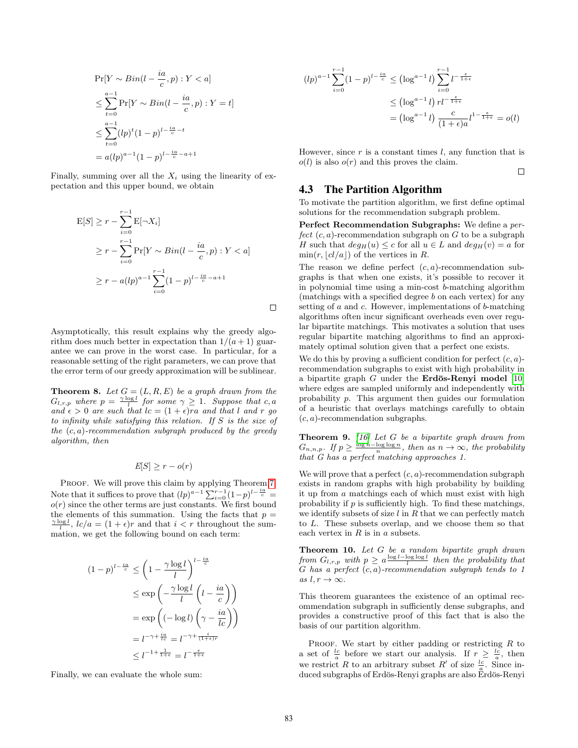$$
\Pr[Y \sim Bin(l - \frac{ia}{c}, p) : Y < a] \\
\leq \sum_{t=0}^{a-1} \Pr[Y \sim Bin(l - \frac{ia}{c}, p) : Y = t] \\
\leq \sum_{t=0}^{a-1} (lp)^t (1-p)^{l - \frac{ia}{c} - t} \\
= a (lp)^{a-1} (1-p)^{l - \frac{ia}{c} - a + 1}
$$

Finally, summing over all the  $X_i$  using the linearity of expectation and this upper bound, we obtain

$$
E[S] \ge r - \sum_{i=0}^{r-1} E[\neg X_i]
$$
  
\n
$$
\ge r - \sum_{i=0}^{r-1} \Pr[Y \sim Bin(l - \frac{ia}{c}, p) : Y < a]
$$
  
\n
$$
\ge r - a(lp)^{a-1} \sum_{i=0}^{r-1} (1-p)^{l - \frac{ia}{c} - a + 1}
$$

Asymptotically, this result explains why the greedy algorithm does much better in expectation than  $1/(a+1)$  guarantee we can prove in the worst case. In particular, for a reasonable setting of the right parameters, we can prove that the error term of our greedy approximation will be sublinear.

<span id="page-6-1"></span>**Theorem 8.** Let  $G = (L, R, E)$  be a graph drawn from the  $G_{l,r,p}$  where  $p = \frac{\gamma \log l}{l}$  for some  $\gamma \geq 1$ . Suppose that c, a and  $\epsilon > 0$  are such that  $lc = (1 + \epsilon)ra$  and that l and r go to infinity while satisfying this relation. If S is the size of the  $(c, a)$ -recommendation subgraph produced by the greedy algorithm, then

$$
E[S] \ge r - o(r)
$$

PROOF. We will prove this claim by applying Theorem [7.](#page-5-0) Note that it suffices to prove that  $(lp)^{a-1} \sum_{i=0}^{r-1} (1-p)^{l-\frac{ia}{c}} =$  $o(r)$  since the other terms are just constants. We first bound the elements of this summation. Using the facts that  $p =$  $\frac{\gamma \log l}{l}$ ,  $lc/a = (1 + \epsilon)r$  and that  $i < r$  throughout the summation, we get the following bound on each term:

$$
(1-p)^{l-\frac{ia}{c}} \le \left(1 - \frac{\gamma \log l}{l}\right)^{l-\frac{ia}{c}}
$$

$$
\le \exp\left(-\frac{\gamma \log l}{l}\left(l-\frac{ia}{c}\right)\right)
$$

$$
= \exp\left((- \log l) \left(\gamma - \frac{ia}{lc}\right)\right)
$$

$$
= l^{-\gamma + \frac{ia}{lc}} = l^{-\gamma + \frac{i}{1+\epsilon}}
$$

$$
\le l^{-1 + \frac{1}{1+\epsilon}} = l^{-\frac{\epsilon}{1+\epsilon}}
$$

Finally, we can evaluate the whole sum:

$$
(lp)^{a-1} \sum_{i=0}^{r-1} (1-p)^{l-\frac{ia}{c}} \le (\log^{a-1} l) \sum_{i=0}^{r-1} l^{-\frac{\epsilon}{1+\epsilon}}
$$

$$
\le (\log^{a-1} l) r l^{-\frac{\epsilon}{1+\epsilon}}
$$

$$
= (\log^{a-1} l) \frac{c}{(1+\epsilon)a} l^{1-\frac{\epsilon}{1+\epsilon}} = o(l)
$$

However, since  $r$  is a constant times  $l$ , any function that is  $o(l)$  is also  $o(r)$  and this proves the claim.

 $\Box$ 

## 4.3 The Partition Algorithm

To motivate the partition algorithm, we first define optimal solutions for the recommendation subgraph problem.

Perfect Recommendation Subgraphs: We define a perfect  $(c, a)$ -recommendation subgraph on G to be a subgraph H such that  $deg_H(u) \leq c$  for all  $u \in L$  and  $deg_H(v) = a$  for  $min(r, \lfloor cl/a \rfloor)$  of the vertices in R.

The reason we define perfect  $(c, a)$ -recommendation subgraphs is that when one exists, it's possible to recover it in polynomial time using a min-cost b-matching algorithm (matchings with a specified degree b on each vertex) for any setting of  $a$  and  $c$ . However, implementations of  $b$ -matching algorithms often incur significant overheads even over regular bipartite matchings. This motivates a solution that uses regular bipartite matching algorithms to find an approximately optimal solution given that a perfect one exists.

We do this by proving a sufficient condition for perfect  $(c, a)$ recommendation subgraphs to exist with high probability in a bipartite graph  $G$  under the **Erdös-Renyi model** [\[10\]](#page-10-23) where edges are sampled uniformly and independently with probability p. This argument then guides our formulation of a heuristic that overlays matchings carefully to obtain  $(c, a)$ -recommendation subgraphs.

<span id="page-6-2"></span>**Theorem 9.** [\[16\]](#page-10-20) Let G be a bipartite graph drawn from  $G_{n,n,p}$ . If  $p \geq \frac{\log n - \log \log n}{n}$ , then as  $n \to \infty$ , the probability that G has a perfect matching approaches 1.

We will prove that a perfect  $(c, a)$ -recommendation subgraph exists in random graphs with high probability by building it up from a matchings each of which must exist with high probability if  $p$  is sufficiently high. To find these matchings, we identify subsets of size  $l$  in  $R$  that we can perfectly match to L. These subsets overlap, and we choose them so that each vertex in  $R$  is in  $a$  subsets.

<span id="page-6-0"></span>**Theorem 10.** Let  $G$  be a random bipartite graph drawn from  $G_{l,r,p}$  with  $p \geq a^{\frac{\log l-\log \log l}{l}}$  then the probability that  $G$  has a perfect  $(c, a)$ -recommendation subgraph tends to 1 as  $l, r \rightarrow \infty$ .

This theorem guarantees the existence of an optimal recommendation subgraph in sufficiently dense subgraphs, and provides a constructive proof of this fact that is also the basis of our partition algorithm.

PROOF. We start by either padding or restricting  $R$  to a set of  $\frac{lc}{a}$  before we start our analysis. If  $r \geq \frac{lc}{a}$ , then we restrict R to an arbitrary subset R' of size  $\frac{lc}{a}$ . Since induced subgraphs of Erdös-Renyi graphs are also Erdös-Renyi

 $\Box$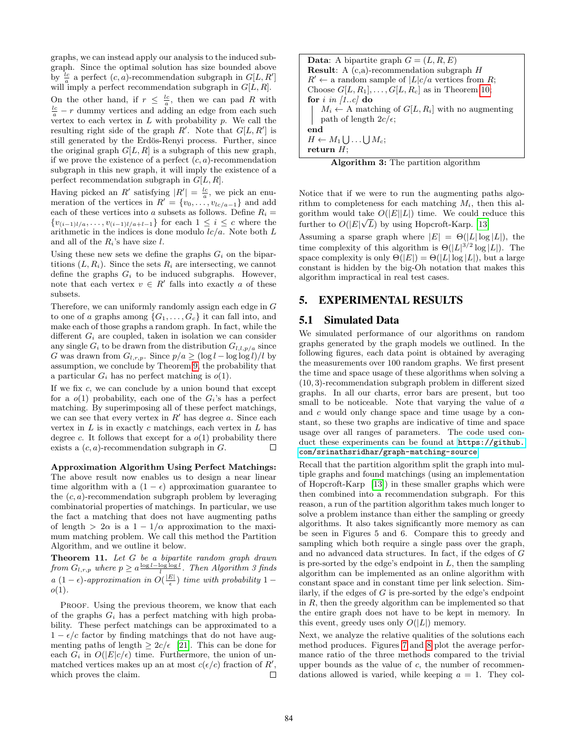graphs, we can instead apply our analysis to the induced subgraph. Since the optimal solution has size bounded above by  $\frac{c}{a}$  a perfect  $(c, a)$ -recommendation subgraph in  $G[L, R']$ will imply a perfect recommendation subgraph in  $G[L, R]$ . On the other hand, if  $r \leq \frac{lc}{a}$ , then we can pad R with  $\frac{lc}{a} - r$  dummy vertices and adding an edge from each such vertex to each vertex in  $L$  with probability  $p$ . We call the resulting right side of the graph  $R'$ . Note that  $G[L, R']$  is still generated by the Erdös-Renyi process. Further, since the original graph  $G[L, R]$  is a subgraph of this new graph, if we prove the existence of a perfect  $(c, a)$ -recommendation subgraph in this new graph, it will imply the existence of a perfect recommendation subgraph in  $G[L, R]$ .

Having picked an R' satisfying  $|R'| = \frac{lc}{a}$ , we pick an enumeration of the vertices in  $R' = \{v_0, \ldots, v_{lc/a-1}\}\$ and add each of these vertices into a subsets as follows. Define  $R_i =$  ${v_{(i-1)l/a}, \ldots, v_{(i-1)l/a+l-1}}$  for each  $1 \leq i \leq c$  where the arithmetic in the indices is done modulo  $lc/a$ . Note both  $L$ and all of the  $R_i$ 's have size  $l$ .

Using these new sets we define the graphs  $G_i$  on the bipartitions  $(L, R_i)$ . Since the sets  $R_i$  are intersecting, we cannot define the graphs  $G_i$  to be induced subgraphs. However, note that each vertex  $v \in R'$  falls into exactly a of these subsets.

Therefore, we can uniformly randomly assign each edge in G to one of a graphs among  $\{G_1, \ldots, G_c\}$  it can fall into, and make each of those graphs a random graph. In fact, while the different  $G_i$  are coupled, taken in isolation we can consider any single  $G_i$  to be drawn from the distribution  $G_{l,l,p/a}$  since G was drawn from  $G_{l,r,p}$ . Since  $p/a \geq (\log l - \log \log l)/l$  by assumption, we conclude by Theorem [9,](#page-6-2) the probability that a particular  $G_i$  has no perfect matching is  $o(1)$ .

If we fix  $c$ , we can conclude by a union bound that except for a  $o(1)$  probability, each one of the  $G_i$ 's has a perfect matching. By superimposing all of these perfect matchings, we can see that every vertex in  $R'$  has degree a. Since each vertex in  $L$  is in exactly c matchings, each vertex in  $L$  has degree c. It follows that except for a  $o(1)$  probability there exists a  $(c, a)$ -recommendation subgraph in  $G$ .  $\Box$ 

Approximation Algorithm Using Perfect Matchings: The above result now enables us to design a near linear time algorithm with a  $(1 - \epsilon)$  approximation guarantee to the  $(c, a)$ -recommendation subgraph problem by leveraging combinatorial properties of matchings. In particular, we use the fact a matching that does not have augmenting paths of length >  $2\alpha$  is a  $1 - 1/\alpha$  approximation to the maximum matching problem. We call this method the Partition Algorithm, and we outline it below.

Theorem 11. Let G be a bipartite random graph drawn from  $G_{l,r,p}$  where  $p \ge a \frac{\log l - \log \log l}{l}$ . Then Algorithm 3 finds  $a(1-\epsilon)$ -approximation in  $O(\frac{|E|}{\epsilon})$  time with probability 1 –  $o(1)$ .

PROOF. Using the previous theorem, we know that each of the graphs  $G_i$  has a perfect matching with high probability. These perfect matchings can be approximated to a  $1 - \epsilon/c$  factor by finding matchings that do not have augmenting paths of length  $\geq 2c/\epsilon$  [\[21\]](#page-10-15). This can be done for each  $G_i$  in  $O(|E|c/\epsilon)$  time. Furthermore, the union of unmatched vertices makes up an at most  $c(\epsilon/c)$  fraction of R', which proves the claim.  $\Box$  **Data:** A bipartite graph  $G = (L, R, E)$ **Result:** A  $(c,a)$ -recommendation subgraph  $H$  $R' \leftarrow$  a random sample of  $|L|c/a$  vertices from R; Choose  $G[L, R_1], \ldots, G[L, R_c]$  as in Theorem [10;](#page-6-0) for i in  $[1..c]$  do  $M_i \leftarrow A$  matching of  $G[L, R_i]$  with no augmenting path of length  $2c/\epsilon$ ; end  $H \leftarrow M_1 \bigcup \ldots \bigcup M_c;$ return  $H$ ;



Notice that if we were to run the augmenting paths algorithm to completeness for each matching  $M_i$ , then this algorithm would take  $O(|E||L|)$  time. We could reduce this further to  $O(|E|\sqrt{L})$  by using Hopcroft-Karp. [\[13\]](#page-10-24)

Assuming a sparse graph where  $|E| = \Theta(|L| \log |L|)$ , the time complexity of this algorithm is  $\Theta(|L|^{3/2} \log |L|)$ . The space complexity is only  $\Theta(|E|) = \Theta(|L| \log |L|)$ , but a large constant is hidden by the big-Oh notation that makes this algorithm impractical in real test cases.

#### <span id="page-7-0"></span>5. EXPERIMENTAL RESULTS

#### 5.1 Simulated Data

We simulated performance of our algorithms on random graphs generated by the graph models we outlined. In the following figures, each data point is obtained by averaging the measurements over 100 random graphs. We first present the time and space usage of these algorithms when solving a (10, 3)-recommendation subgraph problem in different sized graphs. In all our charts, error bars are present, but too small to be noticeable. Note that varying the value of a and c would only change space and time usage by a constant, so these two graphs are indicative of time and space usage over all ranges of parameters. The code used conduct these experiments can be found at [https://github.](https://github.com/srinathsridhar/graph-matching-source) [com/srinathsridhar/graph-matching-source](https://github.com/srinathsridhar/graph-matching-source)

Recall that the partition algorithm split the graph into multiple graphs and found matchings (using an implementation of Hopcroft-Karp [\[13\]](#page-10-24)) in these smaller graphs which were then combined into a recommendation subgraph. For this reason, a run of the partition algorithm takes much longer to solve a problem instance than either the sampling or greedy algorithms. It also takes significantly more memory as can be seen in Figures 5 and 6. Compare this to greedy and sampling which both require a single pass over the graph, and no advanced data structures. In fact, if the edges of G is pre-sorted by the edge's endpoint in  $L$ , then the sampling algorithm can be implemented as an online algorithm with constant space and in constant time per link selection. Similarly, if the edges of  $G$  is pre-sorted by the edge's endpoint in  $R$ , then the greedy algorithm can be implemented so that the entire graph does not have to be kept in memory. In this event, greedy uses only  $O(|L|)$  memory.

Next, we analyze the relative qualities of the solutions each method produces. Figures [7](#page-8-0) and [8](#page-8-0) plot the average performance ratio of the three methods compared to the trivial upper bounds as the value of  $c$ , the number of recommendations allowed is varied, while keeping  $a = 1$ . They col-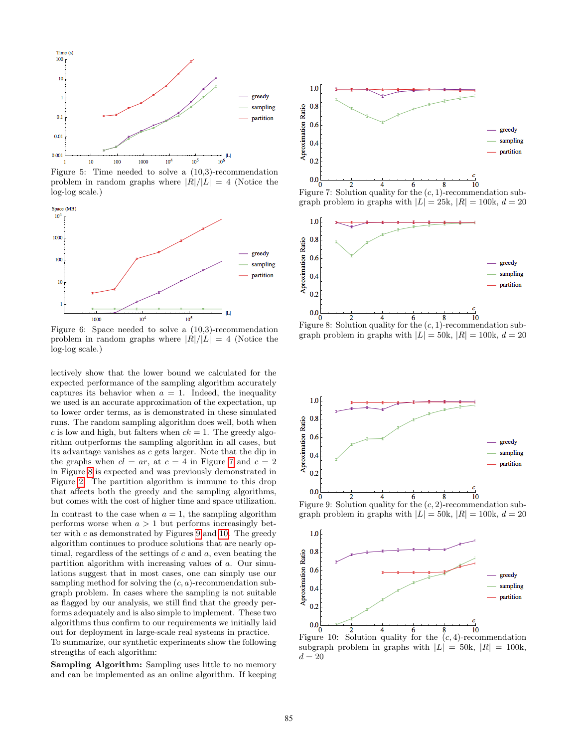

Figure 5: Time needed to solve a (10,3)-recommendation problem in random graphs where  $|R|/|L| = 4$  (Notice the log-log scale.)



Figure 6: Space needed to solve a (10,3)-recommendation problem in random graphs where  $|R|/|L| = 4$  (Notice the log-log scale.)

lectively show that the lower bound we calculated for the expected performance of the sampling algorithm accurately captures its behavior when  $a = 1$ . Indeed, the inequality we used is an accurate approximation of the expectation, up to lower order terms, as is demonstrated in these simulated runs. The random sampling algorithm does well, both when c is low and high, but falters when  $ck = 1$ . The greedy algorithm outperforms the sampling algorithm in all cases, but its advantage vanishes as  $c$  gets larger. Note that the dip in the graphs when  $cl = ar$ , at  $c = 4$  in Figure [7](#page-8-0) and  $c = 2$ in Figure [8](#page-8-0) is expected and was previously demonstrated in Figure [2.](#page-4-1) The partition algorithm is immune to this drop that affects both the greedy and the sampling algorithms, but comes with the cost of higher time and space utilization. In contrast to the case when  $a = 1$ , the sampling algorithm performs worse when  $a > 1$  but performs increasingly better with  $c$  as demonstrated by Figures [9](#page-8-1) and [10.](#page-8-1) The greedy algorithm continues to produce solutions that are nearly optimal, regardless of the settings of  $c$  and  $a$ , even beating the partition algorithm with increasing values of a. Our simulations suggest that in most cases, one can simply use our sampling method for solving the  $(c, a)$ -recommendation subgraph problem. In cases where the sampling is not suitable as flagged by our analysis, we still find that the greedy performs adequately and is also simple to implement. These two algorithms thus confirm to our requirements we initially laid out for deployment in large-scale real systems in practice. To summarize, our synthetic experiments show the following strengths of each algorithm:

Sampling Algorithm: Sampling uses little to no memory and can be implemented as an online algorithm. If keeping

<span id="page-8-0"></span>

graph problem in graphs with  $|L| = 25k$ ,  $|R| = 100k$ ,  $d = 20$ 





<span id="page-8-1"></span>

subgraph problem in graphs with  $|L| = 50k$ ,  $|R| = 100k$ ,  $d = 20$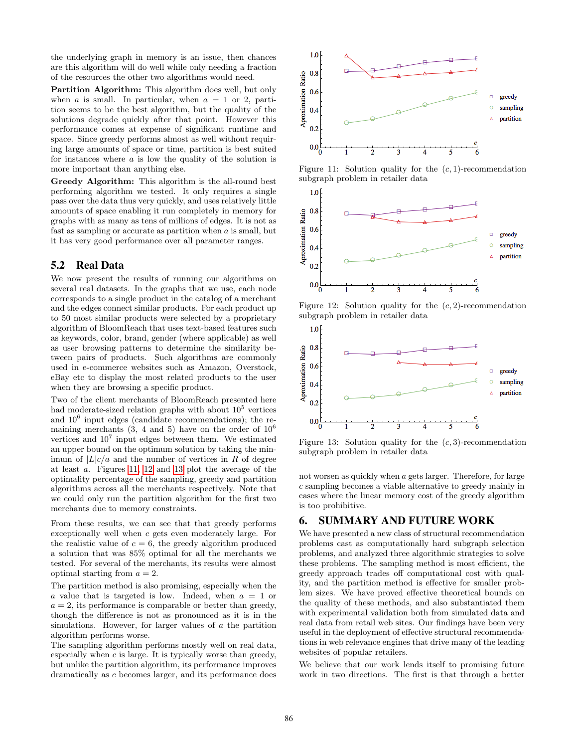the underlying graph in memory is an issue, then chances are this algorithm will do well while only needing a fraction of the resources the other two algorithms would need.

Partition Algorithm: This algorithm does well, but only when a is small. In particular, when  $a = 1$  or 2, partition seems to be the best algorithm, but the quality of the solutions degrade quickly after that point. However this performance comes at expense of significant runtime and space. Since greedy performs almost as well without requiring large amounts of space or time, partition is best suited for instances where a is low the quality of the solution is more important than anything else.

Greedy Algorithm: This algorithm is the all-round best performing algorithm we tested. It only requires a single pass over the data thus very quickly, and uses relatively little amounts of space enabling it run completely in memory for graphs with as many as tens of millions of edges. It is not as fast as sampling or accurate as partition when  $\alpha$  is small, but it has very good performance over all parameter ranges.

## 5.2 Real Data

We now present the results of running our algorithms on several real datasets. In the graphs that we use, each node corresponds to a single product in the catalog of a merchant and the edges connect similar products. For each product up to 50 most similar products were selected by a proprietary algorithm of BloomReach that uses text-based features such as keywords, color, brand, gender (where applicable) as well as user browsing patterns to determine the similarity between pairs of products. Such algorithms are commonly used in e-commerce websites such as Amazon, Overstock, eBay etc to display the most related products to the user when they are browsing a specific product.

Two of the client merchants of BloomReach presented here had moderate-sized relation graphs with about  $10^5$  vertices and 10<sup>6</sup> input edges (candidate recommendations); the remaining merchants  $(3, 4, 4, 5)$  have on the order of  $10<sup>6</sup>$ vertices and  $10^7$  input edges between them. We estimated an upper bound on the optimum solution by taking the minimum of  $|L|c/a$  and the number of vertices in R of degree at least a. Figures [11, 12](#page-9-0) and [13](#page-9-0) plot the average of the optimality percentage of the sampling, greedy and partition algorithms across all the merchants respectively. Note that we could only run the partition algorithm for the first two merchants due to memory constraints.

From these results, we can see that that greedy performs exceptionally well when c gets even moderately large. For the realistic value of  $c = 6$ , the greedy algorithm produced a solution that was 85% optimal for all the merchants we tested. For several of the merchants, its results were almost optimal starting from  $a = 2$ .

The partition method is also promising, especially when the a value that is targeted is low. Indeed, when  $a = 1$  or  $a = 2$ , its performance is comparable or better than greedy, though the difference is not as pronounced as it is in the simulations. However, for larger values of a the partition algorithm performs worse.

The sampling algorithm performs mostly well on real data, especially when  $c$  is large. It is typically worse than greedy, but unlike the partition algorithm, its performance improves dramatically as c becomes larger, and its performance does

<span id="page-9-0"></span>

Figure 11: Solution quality for the  $(c, 1)$ -recommendation subgraph problem in retailer data



Figure 12: Solution quality for the  $(c, 2)$ -recommendation subgraph problem in retailer data



Figure 13: Solution quality for the  $(c, 3)$ -recommendation subgraph problem in retailer data

not worsen as quickly when a gets larger. Therefore, for large c sampling becomes a viable alternative to greedy mainly in cases where the linear memory cost of the greedy algorithm is too prohibitive.

## 6. SUMMARY AND FUTURE WORK

We have presented a new class of structural recommendation problems cast as computationally hard subgraph selection problems, and analyzed three algorithmic strategies to solve these problems. The sampling method is most efficient, the greedy approach trades off computational cost with quality, and the partition method is effective for smaller problem sizes. We have proved effective theoretical bounds on the quality of these methods, and also substantiated them with experimental validation both from simulated data and real data from retail web sites. Our findings have been very useful in the deployment of effective structural recommendations in web relevance engines that drive many of the leading websites of popular retailers.

We believe that our work lends itself to promising future work in two directions. The first is that through a better